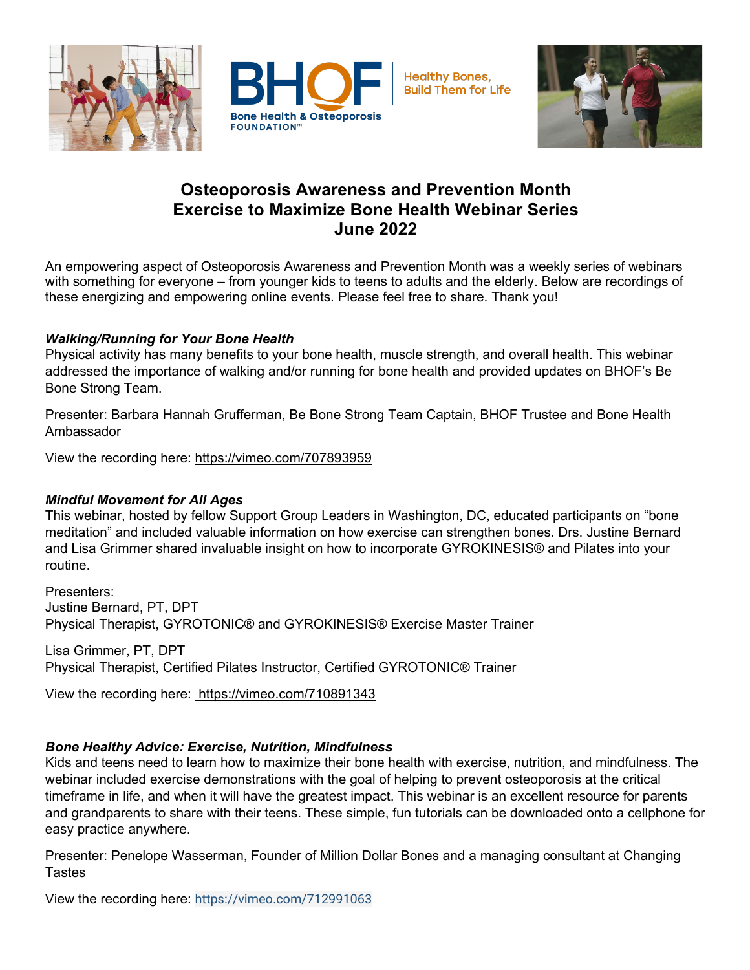



# **Osteoporosis Awareness and Prevention Month Exercise to Maximize Bone Health Webinar Series June 2022**

An empowering aspect of Osteoporosis Awareness and Prevention Month was a weekly series of webinars with something for everyone – from younger kids to teens to adults and the elderly. Below are recordings of these energizing and empowering online events. Please feel free to share. Thank you!

## *Walking/Running for Your Bone Health*

Physical activity has many benefits to your bone health, muscle strength, and overall health. This webinar addressed the importance of walking and/or running for bone health and provided updates on BHOF's Be Bone Strong Team.

Presenter: Barbara Hannah Grufferman, Be Bone Strong Team Captain, BHOF Trustee and Bone Health Ambassador

View the recording here: https://vimeo.com/707893959

### *Mindful Movement for All Ages*

This webinar, hosted by fellow Support Group Leaders in Washington, DC, educated participants on "bone meditation" and included valuable information on how exercise can strengthen bones. Drs. Justine Bernard and Lisa Grimmer shared invaluable insight on how to incorporate GYROKINESIS® and Pilates into your routine.

Presenters: Justine Bernard, PT, DPT Physical Therapist, GYROTONIC® and GYROKINESIS® Exercise Master Trainer

Lisa Grimmer, PT, DPT Physical Therapist, Certified Pilates Instructor, Certified GYROTONIC® Trainer

View the recording here: https://vimeo.com/710891343

### *Bone Healthy Advice: Exercise, Nutrition, Mindfulness*

Kids and teens need to learn how to maximize their bone health with exercise, nutrition, and mindfulness. The webinar included exercise demonstrations with the goal of helping to prevent osteoporosis at the critical timeframe in life, and when it will have the greatest impact. This webinar is an excellent resource for parents and grandparents to share with their teens. These simple, fun tutorials can be downloaded onto a cellphone for easy practice anywhere.

Presenter: Penelope Wasserman, Founder of Million Dollar Bones and a managing consultant at Changing **Tastes** 

View the recording here: https://vimeo.com/712991063